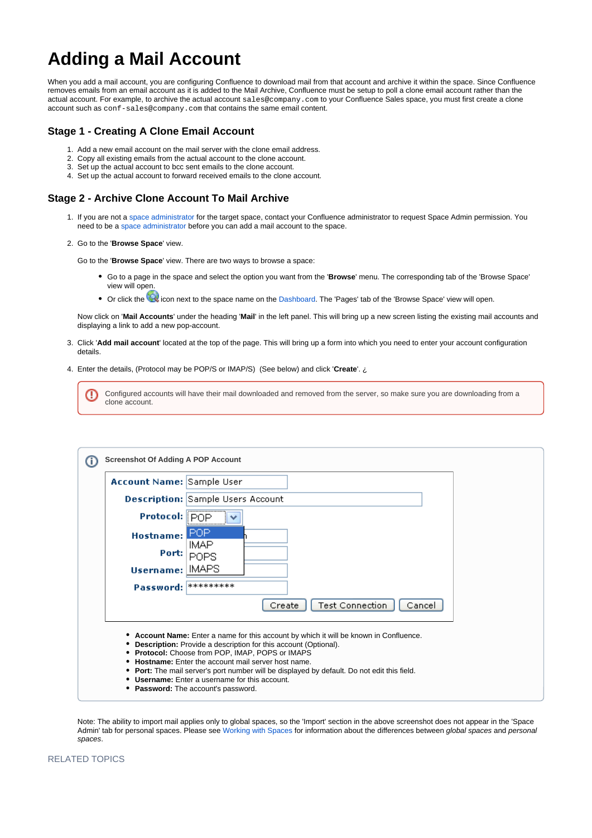## **Adding a Mail Account**

When you add a mail account, you are configuring Confluence to download mail from that account and archive it within the space. Since Confluence removes emails from an email account as it is added to the Mail Archive, Confluence must be setup to poll a clone email account rather than the actual account. For example, to archive the actual account sales@company.com to your Confluence Sales space, you must first create a clone account such as conf-sales@company.com that contains the same email content.

## **Stage 1 - Creating A Clone Email Account**

- 1. Add a new email account on the mail server with the clone email address.
- 2. Copy all existing emails from the actual account to the clone account.
- 3. Set up the actual account to bcc sent emails to the clone account.
- 4. Set up the actual account to forward received emails to the clone account.

## **Stage 2 - Archive Clone Account To Mail Archive**

- 1. If you are not a space administrator for the target space, contact your Confluence administrator to request Space Admin permission. You need to be a space administrator before you can add a mail account to the space.
- 2. Go to the '**Browse Space**' view.

Go to the '**Browse Space**' view. There are two ways to browse a space:

- Go to a page in the space and select the option you want from the '**Browse**' menu. The corresponding tab of the 'Browse Space' view will open.
- Or click the icon next to the space name on the Dashboard. The 'Pages' tab of the 'Browse Space' view will open.

Now click on '**Mail Accounts**' under the heading '**Mail**' in the left panel. This will bring up a new screen listing the existing mail accounts and displaying a link to add a new pop-account.

- 3. Click '**Add mail account**' located at the top of the page. This will bring up a form into which you need to enter your account configuration details.
- 4. Enter the details, (Protocol may be POP/S or IMAP/S) (See below) and click '**Create**'. ¿

|  | Configured accounts will have their mail downloaded and removed from the server, so make sure you are downloading from a |
|--|--------------------------------------------------------------------------------------------------------------------------|
|  | clone account.                                                                                                           |

| <b>Screenshot Of Adding A POP Account</b> |                                                                                                                                                                                                                                                                                                                                                                                                                                                                                          |  |  |
|-------------------------------------------|------------------------------------------------------------------------------------------------------------------------------------------------------------------------------------------------------------------------------------------------------------------------------------------------------------------------------------------------------------------------------------------------------------------------------------------------------------------------------------------|--|--|
| <b>Account Name: Sample User</b>          |                                                                                                                                                                                                                                                                                                                                                                                                                                                                                          |  |  |
|                                           | <b>Description: Sample Users Account</b>                                                                                                                                                                                                                                                                                                                                                                                                                                                 |  |  |
| Protocol: POP                             |                                                                                                                                                                                                                                                                                                                                                                                                                                                                                          |  |  |
| <b>Hostname:</b> I                        | POP                                                                                                                                                                                                                                                                                                                                                                                                                                                                                      |  |  |
| Port:                                     | IMAP.<br><b>POPS</b>                                                                                                                                                                                                                                                                                                                                                                                                                                                                     |  |  |
| Username: IMAPS                           |                                                                                                                                                                                                                                                                                                                                                                                                                                                                                          |  |  |
| Password: **********                      |                                                                                                                                                                                                                                                                                                                                                                                                                                                                                          |  |  |
|                                           | <b>Test Connection</b><br>Cancel<br>Create                                                                                                                                                                                                                                                                                                                                                                                                                                               |  |  |
|                                           | • Account Name: Enter a name for this account by which it will be known in Confluence.<br><b>Description:</b> Provide a description for this account (Optional).<br><b>Protocol:</b> Choose from POP, IMAP, POPS or IMAPS<br><b>Hostname:</b> Enter the account mail server host name.<br>• Port: The mail server's port number will be displayed by default. Do not edit this field.<br><b>Username:</b> Enter a username for this account.<br><b>Password:</b> The account's password. |  |  |

Note: The ability to import mail applies only to global spaces, so the 'Import' section in the above screenshot does not appear in the 'Space Admin' tab for personal spaces. Please see Working with Spaces for information about the differences between global spaces and personal spaces.